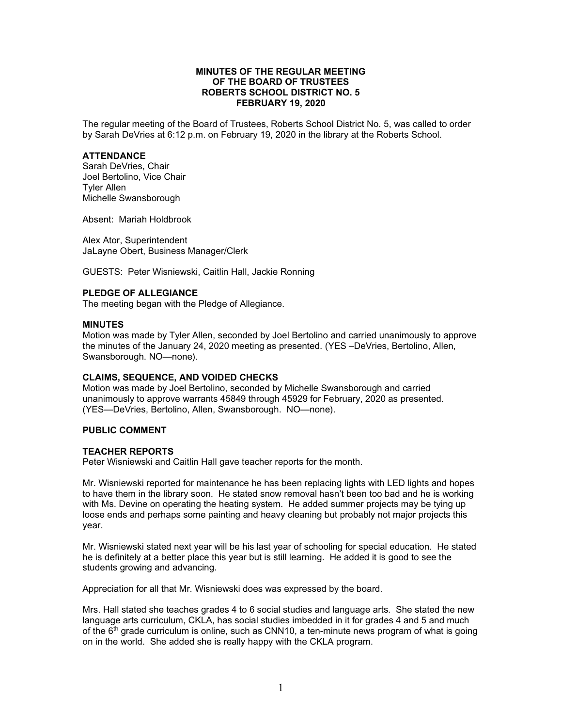## **MINUTES OF THE REGULAR MEETING OF THE BOARD OF TRUSTEES ROBERTS SCHOOL DISTRICT NO. 5 FEBRUARY 19, 2020**

The regular meeting of the Board of Trustees, Roberts School District No. 5, was called to order by Sarah DeVries at 6:12 p.m. on February 19, 2020 in the library at the Roberts School.

### **ATTENDANCE**

Sarah DeVries, Chair Joel Bertolino, Vice Chair Tyler Allen Michelle Swansborough

Absent: Mariah Holdbrook

Alex Ator, Superintendent JaLayne Obert, Business Manager/Clerk

GUESTS: Peter Wisniewski, Caitlin Hall, Jackie Ronning

### **PLEDGE OF ALLEGIANCE**

The meeting began with the Pledge of Allegiance.

### **MINUTES**

Motion was made by Tyler Allen, seconded by Joel Bertolino and carried unanimously to approve the minutes of the January 24, 2020 meeting as presented. (YES –DeVries, Bertolino, Allen, Swansborough. NO—none).

### **CLAIMS, SEQUENCE, AND VOIDED CHECKS**

Motion was made by Joel Bertolino, seconded by Michelle Swansborough and carried unanimously to approve warrants 45849 through 45929 for February, 2020 as presented. (YES—DeVries, Bertolino, Allen, Swansborough. NO—none).

## **PUBLIC COMMENT**

### **TEACHER REPORTS**

Peter Wisniewski and Caitlin Hall gave teacher reports for the month.

Mr. Wisniewski reported for maintenance he has been replacing lights with LED lights and hopes to have them in the library soon. He stated snow removal hasn't been too bad and he is working with Ms. Devine on operating the heating system. He added summer projects may be tying up loose ends and perhaps some painting and heavy cleaning but probably not major projects this year.

Mr. Wisniewski stated next year will be his last year of schooling for special education. He stated he is definitely at a better place this year but is still learning. He added it is good to see the students growing and advancing.

Appreciation for all that Mr. Wisniewski does was expressed by the board.

Mrs. Hall stated she teaches grades 4 to 6 social studies and language arts. She stated the new language arts curriculum, CKLA, has social studies imbedded in it for grades 4 and 5 and much of the  $6<sup>th</sup>$  grade curriculum is online, such as CNN10, a ten-minute news program of what is going on in the world. She added she is really happy with the CKLA program.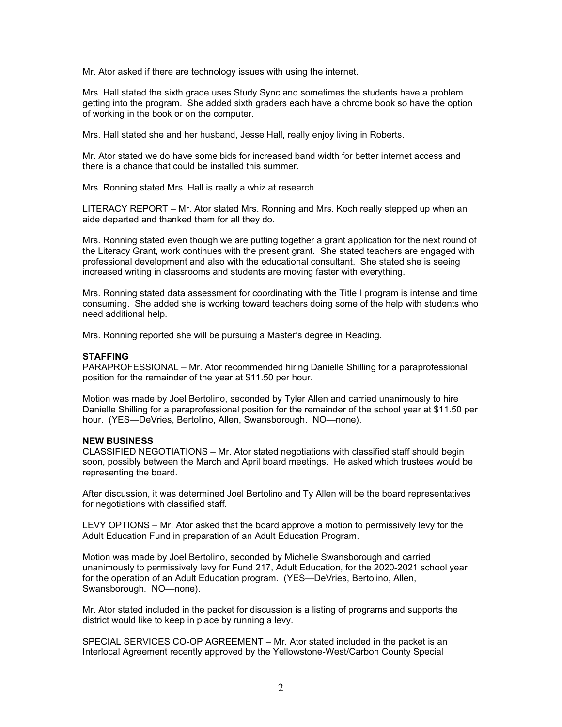Mr. Ator asked if there are technology issues with using the internet.

Mrs. Hall stated the sixth grade uses Study Sync and sometimes the students have a problem getting into the program. She added sixth graders each have a chrome book so have the option of working in the book or on the computer.

Mrs. Hall stated she and her husband, Jesse Hall, really enjoy living in Roberts.

Mr. Ator stated we do have some bids for increased band width for better internet access and there is a chance that could be installed this summer.

Mrs. Ronning stated Mrs. Hall is really a whiz at research.

LITERACY REPORT – Mr. Ator stated Mrs. Ronning and Mrs. Koch really stepped up when an aide departed and thanked them for all they do.

Mrs. Ronning stated even though we are putting together a grant application for the next round of the Literacy Grant, work continues with the present grant. She stated teachers are engaged with professional development and also with the educational consultant. She stated she is seeing increased writing in classrooms and students are moving faster with everything.

Mrs. Ronning stated data assessment for coordinating with the Title I program is intense and time consuming. She added she is working toward teachers doing some of the help with students who need additional help.

Mrs. Ronning reported she will be pursuing a Master's degree in Reading.

### **STAFFING**

PARAPROFESSIONAL – Mr. Ator recommended hiring Danielle Shilling for a paraprofessional position for the remainder of the year at \$11.50 per hour.

Motion was made by Joel Bertolino, seconded by Tyler Allen and carried unanimously to hire Danielle Shilling for a paraprofessional position for the remainder of the school year at \$11.50 per hour. (YES—DeVries, Bertolino, Allen, Swansborough. NO—none).

#### **NEW BUSINESS**

CLASSIFIED NEGOTIATIONS – Mr. Ator stated negotiations with classified staff should begin soon, possibly between the March and April board meetings. He asked which trustees would be representing the board.

After discussion, it was determined Joel Bertolino and Ty Allen will be the board representatives for negotiations with classified staff.

LEVY OPTIONS – Mr. Ator asked that the board approve a motion to permissively levy for the Adult Education Fund in preparation of an Adult Education Program.

Motion was made by Joel Bertolino, seconded by Michelle Swansborough and carried unanimously to permissively levy for Fund 217, Adult Education, for the 2020-2021 school year for the operation of an Adult Education program. (YES—DeVries, Bertolino, Allen, Swansborough. NO—none).

Mr. Ator stated included in the packet for discussion is a listing of programs and supports the district would like to keep in place by running a levy.

SPECIAL SERVICES CO-OP AGREEMENT – Mr. Ator stated included in the packet is an Interlocal Agreement recently approved by the Yellowstone-West/Carbon County Special